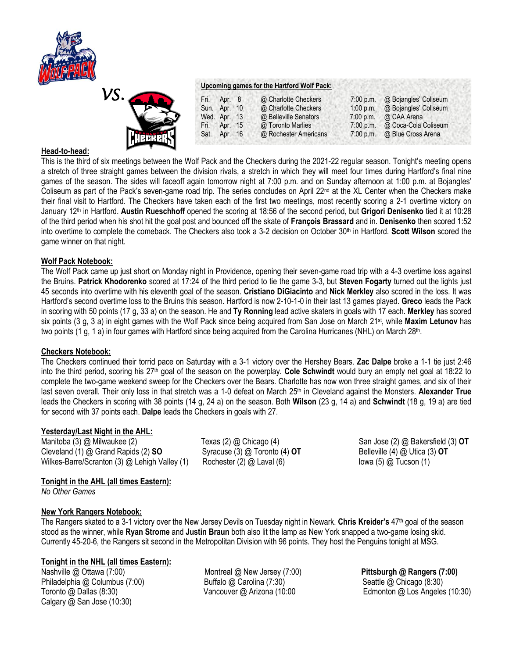



#### **Upcoming games for the Hartford Wolf Pack:**

| Fri. | Apr. 8       | @ Charlotte Checkers  | 7:00 p.m.   | @ Bojangles' Coliseum        |
|------|--------------|-----------------------|-------------|------------------------------|
|      | Sun. Apr. 10 | @ Charlotte Checkers  | $1:00$ p.m. | @ Bojangles' Coliseum        |
|      | Wed. Apr. 13 | @ Belleville Senators | $7:00$ p.m. | @ CAA Arena                  |
|      | Fri. Apr. 15 | @ Toronto Marlies     | 7:00 p.m.   | @ Coca-Cola Coliseum         |
|      | Sat. Apr. 16 | @ Rochester Americans |             | 7:00 p.m. @ Blue Cross Arena |

### **Head-to-head:**

This is the third of six meetings between the Wolf Pack and the Checkers during the 2021-22 regular season. Tonight's meeting opens a stretch of three straight games between the division rivals, a stretch in which they will meet four times during Hartford's final nine games of the season. The sides will faceoff again tomorrow night at 7:00 p.m. and on Sunday afternoon at 1:00 p.m. at Bojangles' Coliseum as part of the Pack's seven-game road trip. The series concludes on April 22<sup>nd</sup> at the XL Center when the Checkers make their final visit to Hartford. The Checkers have taken each of the first two meetings, most recently scoring a 2-1 overtime victory on January 12th in Hartford. **Austin Rueschhoff** opened the scoring at 18:56 of the second period, but **Grigori Denisenko** tied it at 10:28 of the third period when his shot hit the goal post and bounced off the skate of **François Brassard** and in. **Denisenko** then scored 1:52 into overtime to complete the comeback. The Checkers also took a 3-2 decision on October 30th in Hartford. **Scott Wilson** scored the game winner on that night.

### **Wolf Pack Notebook:**

The Wolf Pack came up just short on Monday night in Providence, opening their seven-game road trip with a 4-3 overtime loss against the Bruins. **Patrick Khodorenko** scored at 17:24 of the third period to tie the game 3-3, but **Steven Fogarty** turned out the lights just 45 seconds into overtime with his eleventh goal of the season. **Cristiano DiGiacinto** and **Nick Merkley** also scored in the loss. It was Hartford's second overtime loss to the Bruins this season. Hartford is now 2-10-1-0 in their last 13 games played. **Greco** leads the Pack in scoring with 50 points (17 g, 33 a) on the season. He and **Ty Ronning** lead active skaters in goals with 17 each. **Merkley** has scored six points (3 g, 3 a) in eight games with the Wolf Pack since being acquired from San Jose on March 21st, while **Maxim Letunov** has two points (1 g, 1 a) in four games with Hartford since being acquired from the Carolina Hurricanes (NHL) on March 28<sup>th</sup>.

#### **Checkers Notebook:**

The Checkers continued their torrid pace on Saturday with a 3-1 victory over the Hershey Bears. **Zac Dalpe** broke a 1-1 tie just 2:46 into the third period, scoring his 27th goal of the season on the powerplay. **Cole Schwindt** would bury an empty net goal at 18:22 to complete the two-game weekend sweep for the Checkers over the Bears. Charlotte has now won three straight games, and six of their last seven overall. Their only loss in that stretch was a 1-0 defeat on March 25<sup>th</sup> in Cleveland against the Monsters. Alexander True leads the Checkers in scoring with 38 points (14 g, 24 a) on the season. Both **Wilson** (23 g, 14 a) and **Schwindt** (18 g, 19 a) are tied for second with 37 points each. **Dalpe** leads the Checkers in goals with 27.

# **Yesterday/Last Night in the AHL:**

Manitoba (3) @ Milwaukee (2) Texas (2) @ Chicago (4) San Jose (2) @ Bakersfield (3) **OT** Cleveland (1) @ Grand Rapids (2) **SO** Syracuse (3) @ Toronto (4) **OT** Belleville (4) @ Utica (3) **OT** Wilkes-Barre/Scranton (3) @ Lehigh Valley (1) Rochester (2) @ Laval (6) Investment (5) @ Tucson (1)

# **Tonight in the AHL (all times Eastern):**

*No Other Games* 

# **New York Rangers Notebook:**

The Rangers skated to a 3-1 victory over the New Jersey Devils on Tuesday night in Newark. **Chris Kreider's** 47th goal of the season stood as the winner, while **Ryan Strome** and **Justin Braun** both also lit the lamp as New York snapped a two-game losing skid. Currently 45-20-6, the Rangers sit second in the Metropolitan Division with 96 points. They host the Penguins tonight at MSG.

# **Tonight in the NHL (all times Eastern):**

Philadelphia @ Columbus (7:00) <br>
Toronto @ Dallas (8:30) **Buffalo @ Carolina (7:30)** Seattle @ Chicago (8:30)<br>
Vancouver @ Arizona (10:00 **Salumbus Columbus Columbus Columbus Columbus Columbus Columbus Columbus Columbus Co** Calgary @ San Jose (10:30)

Nashville @ Ottawa (7:00) Montreal @ New Jersey (7:00) **Pittsburgh @ Rangers (7:00)**

Vancouver @ Arizona (10:00 Edmonton @ Los Angeles (10:30)